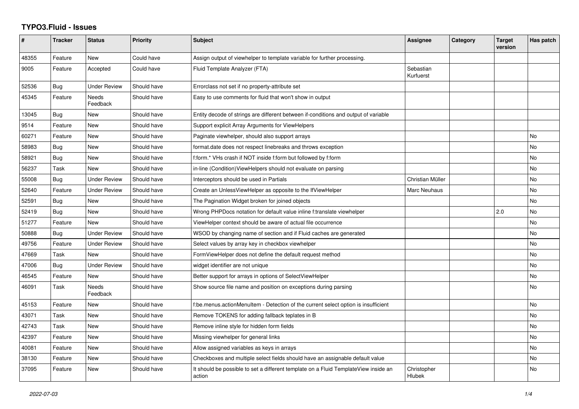## **TYPO3.Fluid - Issues**

| #     | <b>Tracker</b> | <b>Status</b>       | <b>Priority</b> | Subject                                                                                       | Assignee               | Category | <b>Target</b><br>version | Has patch |
|-------|----------------|---------------------|-----------------|-----------------------------------------------------------------------------------------------|------------------------|----------|--------------------------|-----------|
| 48355 | Feature        | <b>New</b>          | Could have      | Assign output of viewhelper to template variable for further processing.                      |                        |          |                          |           |
| 9005  | Feature        | Accepted            | Could have      | Fluid Template Analyzer (FTA)                                                                 | Sebastian<br>Kurfuerst |          |                          |           |
| 52536 | Bug            | <b>Under Review</b> | Should have     | Errorclass not set if no property-attribute set                                               |                        |          |                          |           |
| 45345 | Feature        | Needs<br>Feedback   | Should have     | Easy to use comments for fluid that won't show in output                                      |                        |          |                          |           |
| 13045 | Bug            | New                 | Should have     | Entity decode of strings are different between if-conditions and output of variable           |                        |          |                          |           |
| 9514  | Feature        | New                 | Should have     | Support explicit Array Arguments for ViewHelpers                                              |                        |          |                          |           |
| 60271 | Feature        | New                 | Should have     | Paginate viewhelper, should also support arrays                                               |                        |          |                          | No        |
| 58983 | Bug            | New                 | Should have     | format.date does not respect linebreaks and throws exception                                  |                        |          |                          | No        |
| 58921 | Bug            | New                 | Should have     | f:form.* VHs crash if NOT inside f:form but followed by f:form                                |                        |          |                          | No        |
| 56237 | Task           | <b>New</b>          | Should have     | in-line (Condition) View Helpers should not evaluate on parsing                               |                        |          |                          | No        |
| 55008 | Bug            | <b>Under Review</b> | Should have     | Interceptors should be used in Partials                                                       | Christian Müller       |          |                          | No        |
| 52640 | Feature        | <b>Under Review</b> | Should have     | Create an UnlessViewHelper as opposite to the IfViewHelper                                    | Marc Neuhaus           |          |                          | No        |
| 52591 | Bug            | <b>New</b>          | Should have     | The Pagination Widget broken for joined objects                                               |                        |          |                          | No        |
| 52419 | Bug            | <b>New</b>          | Should have     | Wrong PHPDocs notation for default value inline f:translate viewhelper                        |                        |          | 2.0                      | No        |
| 51277 | Feature        | <b>New</b>          | Should have     | ViewHelper context should be aware of actual file occurrence                                  |                        |          |                          | No        |
| 50888 | Bug            | <b>Under Review</b> | Should have     | WSOD by changing name of section and if Fluid caches are generated                            |                        |          |                          | <b>No</b> |
| 49756 | Feature        | <b>Under Review</b> | Should have     | Select values by array key in checkbox viewhelper                                             |                        |          |                          | No        |
| 47669 | Task           | New                 | Should have     | FormViewHelper does not define the default request method                                     |                        |          |                          | No        |
| 47006 | <b>Bug</b>     | <b>Under Review</b> | Should have     | widget identifier are not unique                                                              |                        |          |                          | No        |
| 46545 | Feature        | New                 | Should have     | Better support for arrays in options of SelectViewHelper                                      |                        |          |                          | No        |
| 46091 | Task           | Needs<br>Feedback   | Should have     | Show source file name and position on exceptions during parsing                               |                        |          |                          | No        |
| 45153 | Feature        | <b>New</b>          | Should have     | f:be.menus.actionMenuItem - Detection of the current select option is insufficient            |                        |          |                          | <b>No</b> |
| 43071 | Task           | New                 | Should have     | Remove TOKENS for adding fallback teplates in B                                               |                        |          |                          | No        |
| 42743 | Task           | New                 | Should have     | Remove inline style for hidden form fields                                                    |                        |          |                          | No        |
| 42397 | Feature        | <b>New</b>          | Should have     | Missing viewhelper for general links                                                          |                        |          |                          | No        |
| 40081 | Feature        | <b>New</b>          | Should have     | Allow assigned variables as keys in arrays                                                    |                        |          |                          | No        |
| 38130 | Feature        | <b>New</b>          | Should have     | Checkboxes and multiple select fields should have an assignable default value                 |                        |          |                          | No        |
| 37095 | Feature        | New                 | Should have     | It should be possible to set a different template on a Fluid TemplateView inside an<br>action | Christopher<br>Hlubek  |          |                          | No.       |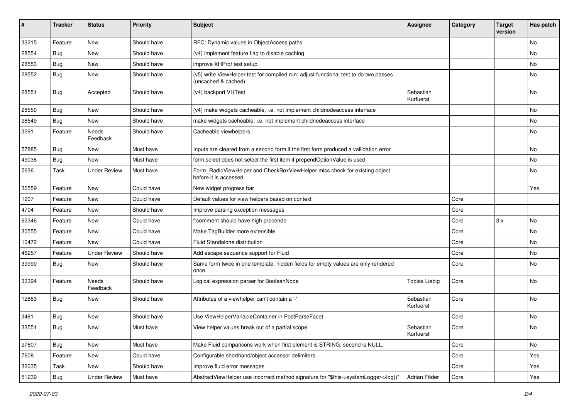| #     | <b>Tracker</b> | <b>Status</b>       | <b>Priority</b> | <b>Subject</b>                                                                                              | <b>Assignee</b>        | Category | <b>Target</b><br>version | Has patch |
|-------|----------------|---------------------|-----------------|-------------------------------------------------------------------------------------------------------------|------------------------|----------|--------------------------|-----------|
| 33215 | Feature        | New                 | Should have     | RFC: Dynamic values in ObjectAccess paths                                                                   |                        |          |                          | No        |
| 28554 | <b>Bug</b>     | New                 | Should have     | (v4) implement feature flag to disable caching                                                              |                        |          |                          | No        |
| 28553 | Bug            | New                 | Should have     | improve XHProf test setup                                                                                   |                        |          |                          | No        |
| 28552 | Bug            | New                 | Should have     | (v5) write ViewHelper test for compiled run; adjust functional test to do two passes<br>(uncached & cached) |                        |          |                          | No        |
| 28551 | Bug            | Accepted            | Should have     | (v4) backport VHTest                                                                                        | Sebastian<br>Kurfuerst |          |                          | No        |
| 28550 | Bug            | New                 | Should have     | (v4) make widgets cacheable, i.e. not implement childnodeaccess interface                                   |                        |          |                          | <b>No</b> |
| 28549 | <b>Bug</b>     | New                 | Should have     | make widgets cacheable, i.e. not implement childnodeaccess interface                                        |                        |          |                          | No        |
| 3291  | Feature        | Needs<br>Feedback   | Should have     | Cacheable viewhelpers                                                                                       |                        |          |                          | No        |
| 57885 | Bug            | New                 | Must have       | Inputs are cleared from a second form if the first form produced a vallidation error                        |                        |          |                          | No        |
| 49038 | <b>Bug</b>     | New                 | Must have       | form select does not select the first item if prependOptionValue is used                                    |                        |          |                          | No        |
| 5636  | Task           | <b>Under Review</b> | Must have       | Form_RadioViewHelper and CheckBoxViewHelper miss check for existing object<br>before it is accessed.        |                        |          |                          | No        |
| 36559 | Feature        | New                 | Could have      | New widget progress bar                                                                                     |                        |          |                          | Yes       |
| 1907  | Feature        | New                 | Could have      | Default values for view helpers based on context                                                            |                        | Core     |                          |           |
| 4704  | Feature        | New                 | Should have     | Improve parsing exception messages                                                                          |                        | Core     |                          |           |
| 62346 | Feature        | New                 | Could have      | f:comment should have high precende                                                                         |                        | Core     | 3.x                      | No        |
| 30555 | Feature        | New                 | Could have      | Make TagBuilder more extensible                                                                             |                        | Core     |                          | No        |
| 10472 | Feature        | New                 | Could have      | Fluid Standalone distribution                                                                               |                        | Core     |                          | No        |
| 46257 | Feature        | <b>Under Review</b> | Should have     | Add escape sequence support for Fluid                                                                       |                        | Core     |                          | No        |
| 39990 | Bug            | New                 | Should have     | Same form twice in one template: hidden fields for empty values are only rendered<br>once                   |                        | Core     |                          | No        |
| 33394 | Feature        | Needs<br>Feedback   | Should have     | Logical expression parser for BooleanNode                                                                   | <b>Tobias Liebig</b>   | Core     |                          | No        |
| 12863 | Bug            | New                 | Should have     | Attributes of a viewhelper can't contain a '-'                                                              | Sebastian<br>Kurfuerst | Core     |                          | No        |
| 3481  | Bug            | New                 | Should have     | Use ViewHelperVariableContainer in PostParseFacet                                                           |                        | Core     |                          | No        |
| 33551 | Bug            | New                 | Must have       | View helper values break out of a partial scope                                                             | Sebastian<br>Kurfuerst | Core     |                          | No        |
| 27607 | Bug            | New                 | Must have       | Make Fluid comparisons work when first element is STRING, second is NULL.                                   |                        | Core     |                          | No        |
| 7608  | Feature        | New                 | Could have      | Configurable shorthand/object accessor delimiters                                                           |                        | Core     |                          | Yes       |
| 32035 | Task           | New                 | Should have     | Improve fluid error messages                                                                                |                        | Core     |                          | Yes       |
| 51239 | <b>Bug</b>     | <b>Under Review</b> | Must have       | AbstractViewHelper use incorrect method signature for "\$this->systemLogger->log()"                         | Adrian Föder           | Core     |                          | Yes       |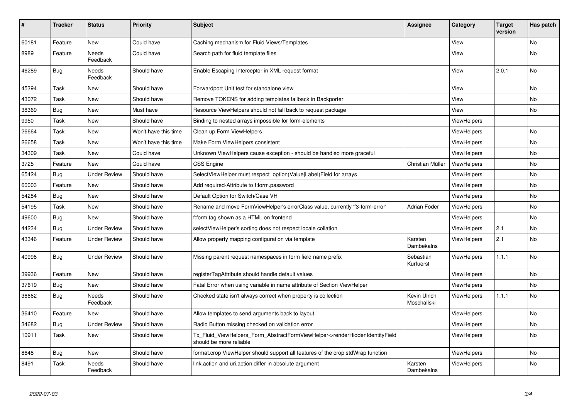| #     | <b>Tracker</b> | <b>Status</b>       | <b>Priority</b>      | <b>Subject</b>                                                                                         | <b>Assignee</b>             | Category           | <b>Target</b><br>version | Has patch |
|-------|----------------|---------------------|----------------------|--------------------------------------------------------------------------------------------------------|-----------------------------|--------------------|--------------------------|-----------|
| 60181 | Feature        | New                 | Could have           | Caching mechanism for Fluid Views/Templates                                                            |                             | View               |                          | <b>No</b> |
| 8989  | Feature        | Needs<br>Feedback   | Could have           | Search path for fluid template files                                                                   |                             | View               |                          | No        |
| 46289 | Bug            | Needs<br>Feedback   | Should have          | Enable Escaping Interceptor in XML request format                                                      |                             | View               | 2.0.1                    | No        |
| 45394 | Task           | New                 | Should have          | Forwardport Unit test for standalone view                                                              |                             | View               |                          | No        |
| 43072 | Task           | New                 | Should have          | Remove TOKENS for adding templates fallback in Backporter                                              |                             | View               |                          | No        |
| 38369 | Bug            | New                 | Must have            | Resource ViewHelpers should not fall back to request package                                           |                             | View               |                          | No        |
| 9950  | Task           | New                 | Should have          | Binding to nested arrays impossible for form-elements                                                  |                             | <b>ViewHelpers</b> |                          |           |
| 26664 | Task           | <b>New</b>          | Won't have this time | Clean up Form ViewHelpers                                                                              |                             | <b>ViewHelpers</b> |                          | <b>No</b> |
| 26658 | Task           | New                 | Won't have this time | Make Form ViewHelpers consistent                                                                       |                             | <b>ViewHelpers</b> |                          | No        |
| 34309 | Task           | New                 | Could have           | Unknown ViewHelpers cause exception - should be handled more graceful                                  |                             | <b>ViewHelpers</b> |                          | No        |
| 3725  | Feature        | <b>New</b>          | Could have           | <b>CSS Engine</b>                                                                                      | Christian Müller            | ViewHelpers        |                          | No        |
| 65424 | Bug            | <b>Under Review</b> | Should have          | SelectViewHelper must respect option(Value Label)Field for arrays                                      |                             | <b>ViewHelpers</b> |                          | <b>No</b> |
| 60003 | Feature        | New                 | Should have          | Add required-Attribute to f:form.password                                                              |                             | ViewHelpers        |                          | No        |
| 54284 | Bug            | New                 | Should have          | Default Option for Switch/Case VH                                                                      |                             | ViewHelpers        |                          | <b>No</b> |
| 54195 | Task           | <b>New</b>          | Should have          | Rename and move FormViewHelper's errorClass value, currently 'f3-form-error'                           | Adrian Föder                | ViewHelpers        |                          | No        |
| 49600 | <b>Bug</b>     | New                 | Should have          | f:form tag shown as a HTML on frontend                                                                 |                             | ViewHelpers        |                          | <b>No</b> |
| 44234 | Bug            | <b>Under Review</b> | Should have          | selectViewHelper's sorting does not respect locale collation                                           |                             | <b>ViewHelpers</b> | 2.1                      | <b>No</b> |
| 43346 | Feature        | <b>Under Review</b> | Should have          | Allow property mapping configuration via template                                                      | Karsten<br>Dambekalns       | ViewHelpers        | 2.1                      | <b>No</b> |
| 40998 | Bug            | <b>Under Review</b> | Should have          | Missing parent request namespaces in form field name prefix                                            | Sebastian<br>Kurfuerst      | <b>ViewHelpers</b> | 1.1.1                    | <b>No</b> |
| 39936 | Feature        | <b>New</b>          | Should have          | registerTagAttribute should handle default values                                                      |                             | <b>ViewHelpers</b> |                          | <b>No</b> |
| 37619 | Bug            | New                 | Should have          | Fatal Error when using variable in name attribute of Section ViewHelper                                |                             | ViewHelpers        |                          | No        |
| 36662 | Bug            | Needs<br>Feedback   | Should have          | Checked state isn't always correct when property is collection                                         | Kevin Ulrich<br>Moschallski | <b>ViewHelpers</b> | 1.1.1                    | No        |
| 36410 | Feature        | New                 | Should have          | Allow templates to send arguments back to layout                                                       |                             | <b>ViewHelpers</b> |                          | No        |
| 34682 | <b>Bug</b>     | Under Review        | Should have          | Radio Button missing checked on validation error                                                       |                             | ViewHelpers        |                          | <b>No</b> |
| 10911 | Task           | New                 | Should have          | Tx Fluid ViewHelpers Form AbstractFormViewHelper->renderHiddenIdentityField<br>should be more reliable |                             | <b>ViewHelpers</b> |                          | No        |
| 8648  | Bug            | New                 | Should have          | format.crop ViewHelper should support all features of the crop stdWrap function                        |                             | ViewHelpers        |                          | No        |
| 8491  | Task           | Needs<br>Feedback   | Should have          | link.action and uri.action differ in absolute argument                                                 | Karsten<br>Dambekalns       | ViewHelpers        |                          | No        |